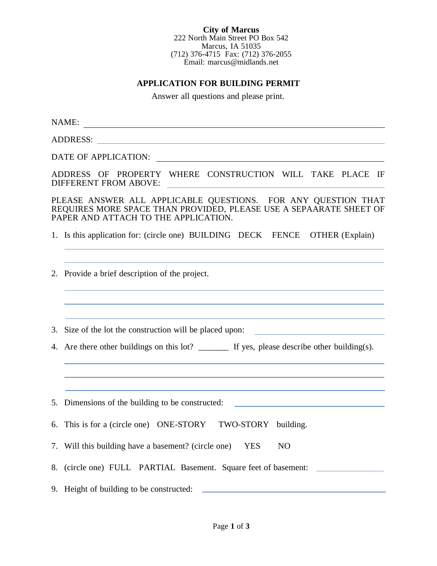**City of Marcus** 222 North Main Street PO Box 542 Marcus, IA 51035 (712) 376-4715 Fax: (712) 376-2055 Email: marcus@midlands.net

## **APPLICATION FOR BUILDING PERMIT**

Answer all questions and please print.

NAME:

ADDRESS:

DATE OF APPLICATION:

ADDRESS OF PROPERTY WHERE CONSTRUCTION WILL TAKE PLACE IF DIFFERENT FROM ABOVE:

PLEASE ANSWER ALL APPLICABLE QUESTIONS. FOR ANY QUESTION THAT REQUIRES MORE SPACE THAN PROVIDED, PLEASE USE A SEPAARATE SHEET OF PAPER AND ATTACH TO THE APPLICATION.

- 1. Is this application for: (circle one) BUILDING DECK FENCE OTHER (Explain)
- 2. Provide a brief description of the project.
- 3. Size of the lot the construction will be placed upon:
- 4. Are there other buildings on this lot? \_\_\_\_\_\_\_\_ If yes, please describe other building(s).

5. Dimensions of the building to be constructed:

- 6. This is for a (circle one) ONE-STORY TWO-STORY building.
- 7. Will this building have a basement? (circle one) YES NO
- 8. (circle one) FULL PARTIAL Basement. Square feet of basement:
- 9. Height of building to be constructed: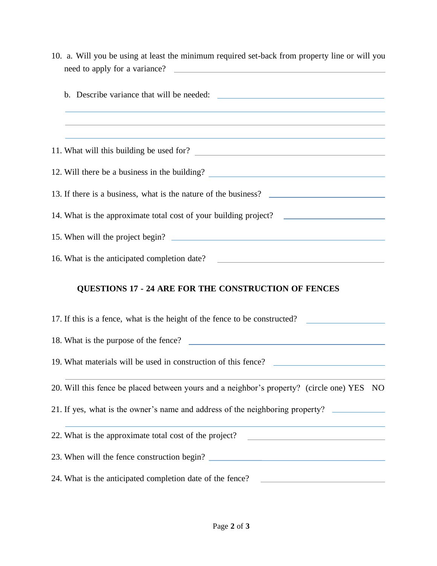| 10. a. Will you be using at least the minimum required set-back from property line or will you                                                                                                       |
|------------------------------------------------------------------------------------------------------------------------------------------------------------------------------------------------------|
|                                                                                                                                                                                                      |
| ,我们也不能在这里的时候,我们也不能在这里的时候,我们也不能会在这里的时候,我们也不能会在这里的时候,我们也不能会在这里的时候,我们也不能会在这里的时候,我们也<br>and the control of the control of the control of the control of the control of the control of the control of the |
| 11. What will this building be used for?                                                                                                                                                             |
| 12. Will there be a business in the building? ___________________________________                                                                                                                    |
| 13. If there is a business, what is the nature of the business?                                                                                                                                      |
| 14. What is the approximate total cost of your building project? ________________                                                                                                                    |
| 15. When will the project begin?                                                                                                                                                                     |
| 16. What is the anticipated completion date? ___________________________________                                                                                                                     |
| <b>QUESTIONS 17 - 24 ARE FOR THE CONSTRUCTION OF FENCES</b>                                                                                                                                          |
| 17. If this is a fence, what is the height of the fence to be constructed?                                                                                                                           |
| 18. What is the purpose of the fence?                                                                                                                                                                |
| 19. What materials will be used in construction of this fence? __________________                                                                                                                    |
| 20. Will this fence be placed between yours and a neighbor's property? (circle one) YES NO                                                                                                           |

21. If yes, what is the owner's name and address of the neighboring property?

22. What is the approximate total cost of the project? <u> 1989 - Andrea Station, amerikansk politik (</u> 23. When will the fence construction begin?

24. What is the anticipated completion date of the fence?